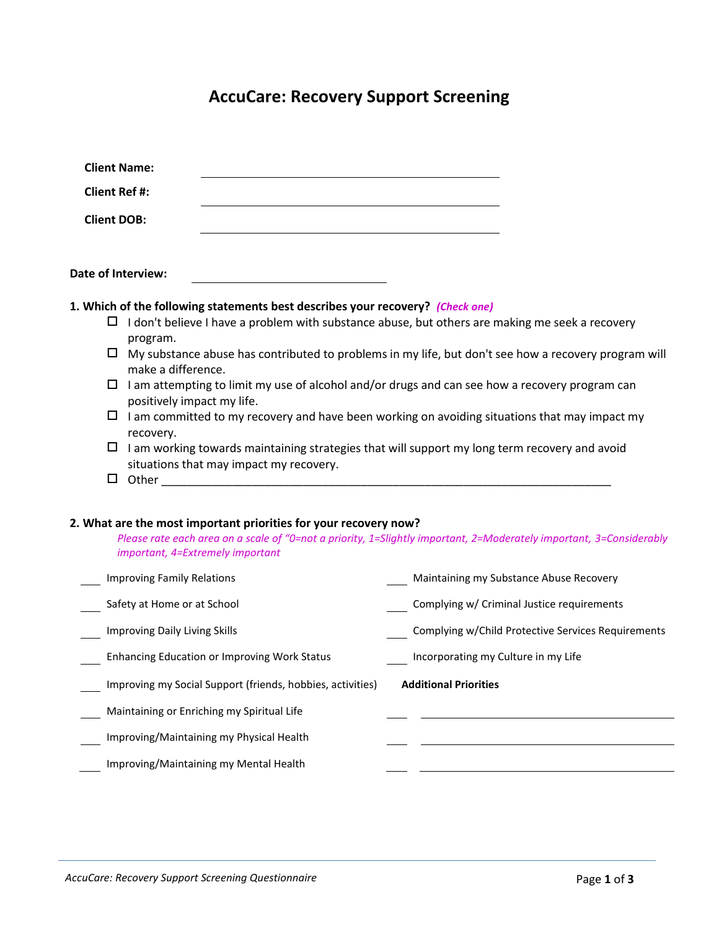# **AccuCare: Recovery Support Screening**

| <b>Client Name:</b>                                                                                                                             |                                                                                                                     |  |
|-------------------------------------------------------------------------------------------------------------------------------------------------|---------------------------------------------------------------------------------------------------------------------|--|
| <b>Client Ref #:</b>                                                                                                                            |                                                                                                                     |  |
| <b>Client DOB:</b>                                                                                                                              |                                                                                                                     |  |
|                                                                                                                                                 |                                                                                                                     |  |
| <b>Date of Interview:</b>                                                                                                                       |                                                                                                                     |  |
| 1. Which of the following statements best describes your recovery? (Check one)                                                                  |                                                                                                                     |  |
| $\Box$ I don't believe I have a problem with substance abuse, but others are making me seek a recovery<br>program.                              |                                                                                                                     |  |
| make a difference.                                                                                                                              | $\Box$ My substance abuse has contributed to problems in my life, but don't see how a recovery program will         |  |
| $\Box$ I am attempting to limit my use of alcohol and/or drugs and can see how a recovery program can                                           |                                                                                                                     |  |
| positively impact my life.<br>$\Box$ I am committed to my recovery and have been working on avoiding situations that may impact my              |                                                                                                                     |  |
| recovery.                                                                                                                                       |                                                                                                                     |  |
| $\Box$ I am working towards maintaining strategies that will support my long term recovery and avoid<br>situations that may impact my recovery. |                                                                                                                     |  |
|                                                                                                                                                 |                                                                                                                     |  |
| 2. What are the most important priorities for your recovery now?<br>important, 4=Extremely important                                            | Please rate each area on a scale of "0=not a priority, 1=Slightly important, 2=Moderately important, 3=Considerably |  |
| <b>Improving Family Relations</b>                                                                                                               | Maintaining my Substance Abuse Recovery                                                                             |  |
| Safety at Home or at School                                                                                                                     | Complying w/ Criminal Justice requirements                                                                          |  |
| Improving Daily Living Skills                                                                                                                   | Complying w/Child Protective Services Requirements                                                                  |  |
| <b>Enhancing Education or Improving Work Status</b>                                                                                             | Incorporating my Culture in my Life                                                                                 |  |
| Improving my Social Support (friends, hobbies, activities)                                                                                      | <b>Additional Priorities</b>                                                                                        |  |
| Maintaining or Enriching my Spiritual Life                                                                                                      |                                                                                                                     |  |
| Improving/Maintaining my Physical Health                                                                                                        |                                                                                                                     |  |
| Improving/Maintaining my Mental Health                                                                                                          |                                                                                                                     |  |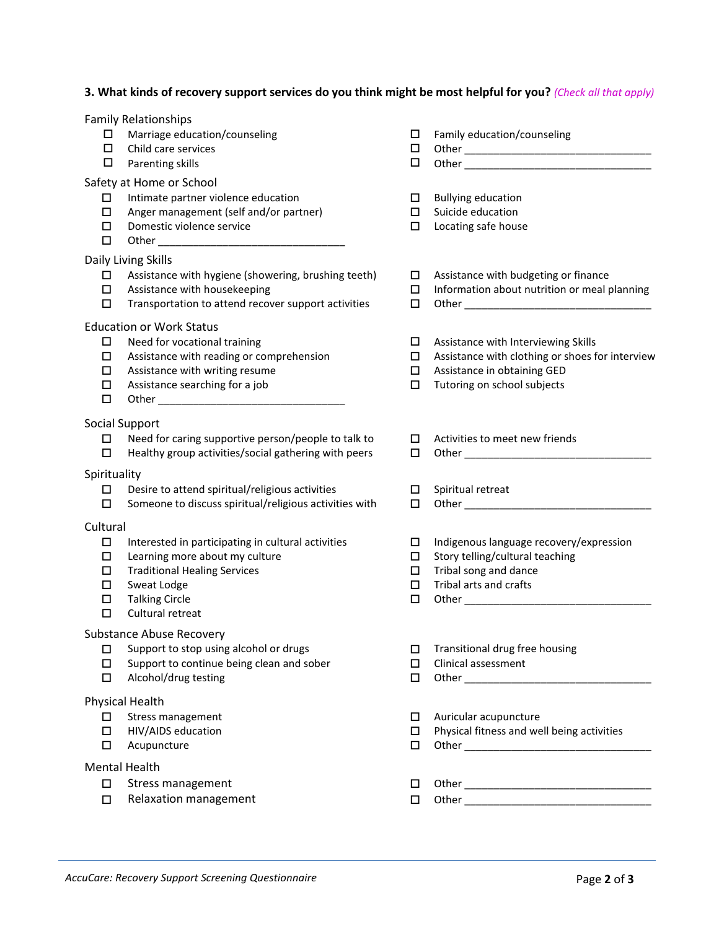## **3. What kinds of recovery support services do you think might be most helpful for you?** *(Check all that apply)*

#### Family Relationships

- $\Box$  Marriage education/counseling  $\Box$  Family education/counseling
- 
- 

#### Safety at Home or School

- $\Box$  Intimate partner violence education  $\Box$  Bullying education
- $\square$  Anger management (self and/or partner)  $\square$  Suicide education
- $\square$  Domestic violence service  $\square$  Locating safe house
- $\Box$  Other

#### Daily Living Skills

- $\Box$  Assistance with hygiene (showering, brushing teeth)  $\Box$  Assistance with budgeting or finance
- 
- Transportation to attend recover support activities Other \_\_\_\_\_\_\_\_\_\_\_\_\_\_\_\_\_\_\_\_\_\_\_\_\_\_\_\_\_\_\_\_

#### Education or Work Status

- 
- 
- $\square$  Assistance with writing resume  $\square$  Assistance in obtaining GED
- $\Box$  Assistance searching for a job  $\Box$  Tutoring on school subjects
- Other \_\_\_\_\_\_\_\_\_\_\_\_\_\_\_\_\_\_\_\_\_\_\_\_\_\_\_\_\_\_\_\_

## Social Support

- $\Box$  Need for caring supportive person/people to talk to  $\Box$  Activities to meet new friends
- $\Box$  Healthy group activities/social gathering with peers  $\Box$  Other

#### **Spirituality**

- $\square$  Desire to attend spiritual/religious activities  $\square$  Spiritual retreat
- $\square$  Someone to discuss spiritual/religious activities with  $\square$  Other

#### **Cultural**

- $\Box$  Interested in participating in cultural activities  $\Box$  Indigenous language recovery/expression
- 
- $\square$  Traditional Healing Services  $\square$  Tribal song and dance
- 
- $\square$  Talking Circle  $\square$  Other  $\square$  Other  $\square$
- $\square$  Cultural retreat

#### Substance Abuse Recovery

- $\square$  Support to stop using alcohol or drugs  $\square$  Transitional drug free housing
- $\square$  Support to continue being clean and sober  $\square$  Clinical assessment
- Alcohol/drug testing Other \_\_\_\_\_\_\_\_\_\_\_\_\_\_\_\_\_\_\_\_\_\_\_\_\_\_\_\_\_\_\_\_

#### Physical Health

- $\square$  Stress management  $\square$  Auricular acupuncture
- 
- Acupuncture Other \_\_\_\_\_\_\_\_\_\_\_\_\_\_\_\_\_\_\_\_\_\_\_\_\_\_\_\_\_\_\_\_

#### Mental Health

- Stress management Other \_\_\_\_\_\_\_\_\_\_\_\_\_\_\_\_\_\_\_\_\_\_\_\_\_\_\_\_\_\_\_\_
- $\square$  Relaxation management  $\square$  Other  $\square$  Other  $\square$
- Child care services Other \_\_\_\_\_\_\_\_\_\_\_\_\_\_\_\_\_\_\_\_\_\_\_\_\_\_\_\_\_\_\_\_ Parenting skills Other \_\_\_\_\_\_\_\_\_\_\_\_\_\_\_\_\_\_\_\_\_\_\_\_\_\_\_\_\_\_\_\_
	-
	-
	-
	-
- $\Box$  Assistance with housekeeping  $\Box$  Information about nutrition or meal planning
	-
- $\square$  Need for vocational training  $\square$  Assistance with Interviewing Skills
- $\Box$  Assistance with reading or comprehension  $\Box$  Assistance with clothing or shoes for interview
	-
	-
	-
	-
	- -
	-
- $\square$  Learning more about my culture  $\square$  Story telling/cultural teaching
	-
- $\square$  Sweat Lodge  $\square$  Sweat Lodge
	-
	-
	-
	-
	-
- $\Box$  HIV/AIDS education  $\Box$  Physical fitness and well being activities
	-
	-
	-